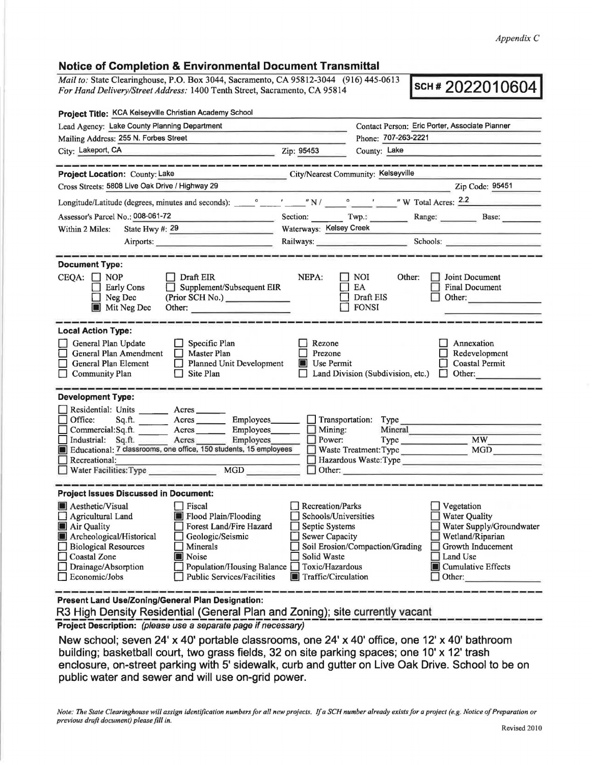## **Notice of Completion** & **Environmental Document Transmittal**

*Mail to: State Clearinghouse, P.O. Box 3044, Sacramento, CA 95812-3044* (916) 445-0613 **SCH # 2022010604 For Hand Delivery/Street Address: 1400 Tenth Street. Sacramento, CA 95814** *For Hand Delivery/Street Address:* 1400 Tenth Street, Sacramento, CA 95814

| Contact Person: Eric Porter, Associate Planner                                                                                                                                                                                                                                                                                                                                                                                    |
|-----------------------------------------------------------------------------------------------------------------------------------------------------------------------------------------------------------------------------------------------------------------------------------------------------------------------------------------------------------------------------------------------------------------------------------|
| Phone: 707-263-2221                                                                                                                                                                                                                                                                                                                                                                                                               |
| Zip: 95453<br>County: Lake<br><u> 1980 - Andrea Station Andrea Sta</u>                                                                                                                                                                                                                                                                                                                                                            |
| City/Nearest Community: Kelseyville                                                                                                                                                                                                                                                                                                                                                                                               |
| Zip Code: 95451                                                                                                                                                                                                                                                                                                                                                                                                                   |
|                                                                                                                                                                                                                                                                                                                                                                                                                                   |
| Section: Twp.: Range: Base:                                                                                                                                                                                                                                                                                                                                                                                                       |
| Waterways: Kelsey Creek                                                                                                                                                                                                                                                                                                                                                                                                           |
| Railways: Schools: Schools:                                                                                                                                                                                                                                                                                                                                                                                                       |
| NEPA:<br>$\Box$ NOI<br>Other:<br><b>1</b> Joint Document<br>Supplement/Subsequent EIR<br>$\Box$ EA<br>Final Document<br>$\Box$ Draft EIS<br>Other:<br>(Prior SCH No.) ______________<br>$\Box$ FONSI<br>Other:                                                                                                                                                                                                                    |
|                                                                                                                                                                                                                                                                                                                                                                                                                                   |
| Rezone<br>Annexation<br>$\Box$ Prezone<br>Redevelopment<br>Planned Unit Development<br><b>Use Permit</b><br>Coastal Permit<br>$\Box$ Land Division (Subdivision, etc.) $\Box$ Other:                                                                                                                                                                                                                                              |
|                                                                                                                                                                                                                                                                                                                                                                                                                                   |
| Sq.ft. _________ Acres _________ Employees _______ _ _ Transportation: Type<br>Commercial:Sq.ft. ________ Acres ________ Employees _______ __ Mining:<br>Mineral<br>$\Box$ Power:<br>Industrial: Sq.ft. Acres Employees<br>Educational: 7 classrooms, one office, 150 students, 15 employees<br>Type MW<br>Waste Treatment: Type MGD<br>Hazardous Waste:Type<br>Other:                                                            |
|                                                                                                                                                                                                                                                                                                                                                                                                                                   |
| <b>Recreation/Parks</b><br>Vegetation<br>Schools/Universities<br>Water Quality<br>Water Supply/Groundwater<br>Septic Systems<br>ப<br>$\Box$ Wetland/Riparian<br>Sewer Capacity<br>Soil Erosion/Compaction/Grading □ Growth Inducement<br>Solid Waste<br>$\Box$ Land Use<br>Population/Housing Balance Toxic/Hazardous<br><b>I</b> Cumulative Effects<br>$\Box$ Public Services/Facilities<br>Traffic/Circulation<br>$\Box$ Other: |
|                                                                                                                                                                                                                                                                                                                                                                                                                                   |

**Present Land Use/Zoning/General Plan Designation:** 

R3 High Density Residential (General Plan and Zoning); site currently vacant

**Project Description:** (please use a separate page if necessary)

New school; seven 24' x 40' portable classrooms, one 24' x 40' office, one 12' x 40' bathroom building; basketball court, two grass fields, 32 on site parking spaces; one 10' x 12' trash enclosure, on-street parking with 5' sidewalk, curb and gutter on Live Oak Drive. School to be on public water and sewer and will use on-grid power.

*Note: The State Clearinghouse will assign identijkation numbers for all new projects. If a SCH number already exists for a project (e.g. Notice of Preparation or previous drqfr document) please fill in.*